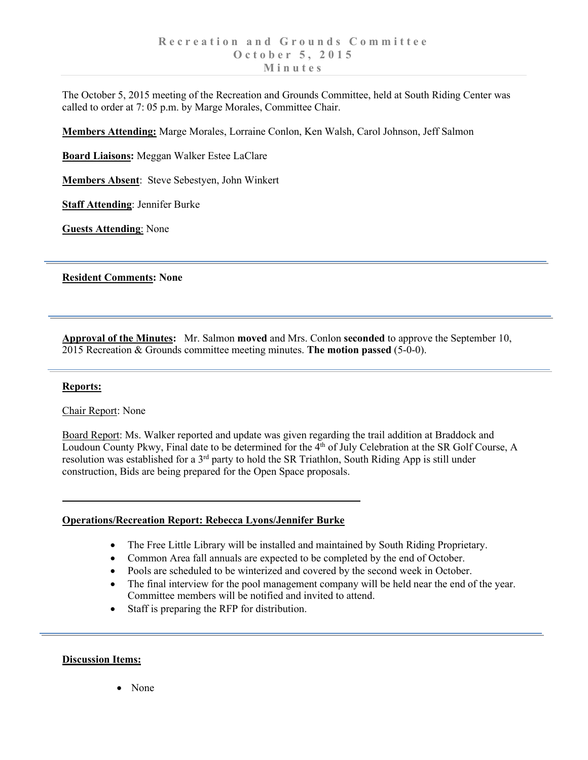The October 5, 2015 meeting of the Recreation and Grounds Committee, held at South Riding Center was called to order at 7: 05 p.m. by Marge Morales, Committee Chair.

**Members Attending:** Marge Morales, Lorraine Conlon, Ken Walsh, Carol Johnson, Jeff Salmon

**Board Liaisons:** Meggan Walker Estee LaClare

**Members Absent**: Steve Sebestyen, John Winkert

**Staff Attending**: Jennifer Burke

**Guests Attending**: None

**Resident Comments: None**

**Approval of the Minutes:** Mr. Salmon **moved** and Mrs. Conlon **seconded** to approve the September 10, 2015 Recreation & Grounds committee meeting minutes. **The motion passed** (5-0-0).

## **Reports:**

Chair Report: None

Board Report: Ms. Walker reported and update was given regarding the trail addition at Braddock and Loudoun County Pkwy, Final date to be determined for the 4<sup>th</sup> of July Celebration at the SR Golf Course, A resolution was established for a 3<sup>rd</sup> party to hold the SR Triathlon, South Riding App is still under construction, Bids are being prepared for the Open Space proposals.

## **Operations/Recreation Report: Rebecca Lyons/Jennifer Burke**

- The Free Little Library will be installed and maintained by South Riding Proprietary.
- Common Area fall annuals are expected to be completed by the end of October.
- Pools are scheduled to be winterized and covered by the second week in October.
- The final interview for the pool management company will be held near the end of the year. Committee members will be notified and invited to attend.
- Staff is preparing the RFP for distribution.

## **Discussion Items:**

• None